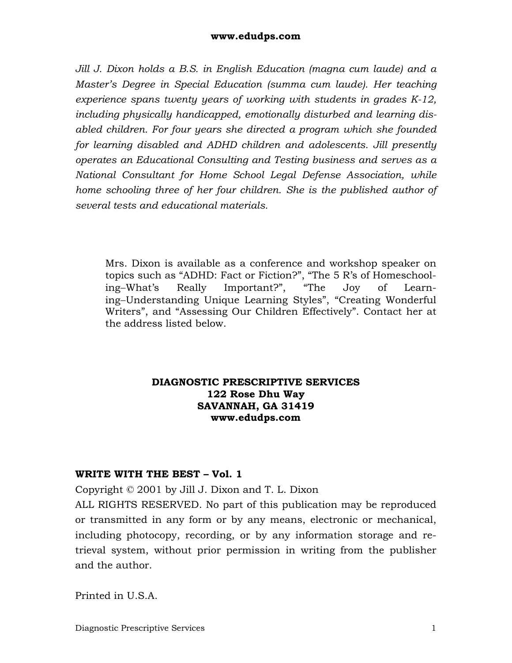*Jill J. Dixon holds a B.S. in English Education (magna cum laude) and a Master's Degree in Special Education (summa cum laude). Her teaching experience spans twenty years of working with students in grades K-12, including physically handicapped, emotionally disturbed and learning disabled children. For four years she directed a program which she founded for learning disabled and ADHD children and adolescents. Jill presently operates an Educational Consulting and Testing business and serves as a National Consultant for Home School Legal Defense Association, while home schooling three of her four children. She is the published author of several tests and educational materials.* 

Mrs. Dixon is available as a conference and workshop speaker on topics such as "ADHD: Fact or Fiction?", "The 5 R's of Homeschooling−What's Really Important?", "The Joy of Learning−Understanding Unique Learning Styles", "Creating Wonderful Writers", and "Assessing Our Children Effectively". Contact her at the address listed below.

### **DIAGNOSTIC PRESCRIPTIVE SERVICES 122 Rose Dhu Way SAVANNAH, GA 31419 www.edudps.com**

### **WRITE WITH THE BEST – Vol. 1**

Copyright © 2001 by Jill J. Dixon and T. L. Dixon

ALL RIGHTS RESERVED. No part of this publication may be reproduced or transmitted in any form or by any means, electronic or mechanical, including photocopy, recording, or by any information storage and retrieval system, without prior permission in writing from the publisher and the author.

Printed in U.S.A.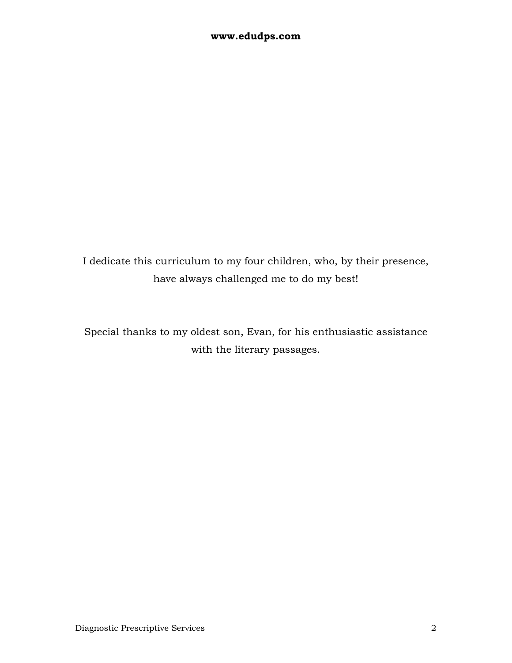I dedicate this curriculum to my four children, who, by their presence, have always challenged me to do my best!

Special thanks to my oldest son, Evan, for his enthusiastic assistance with the literary passages.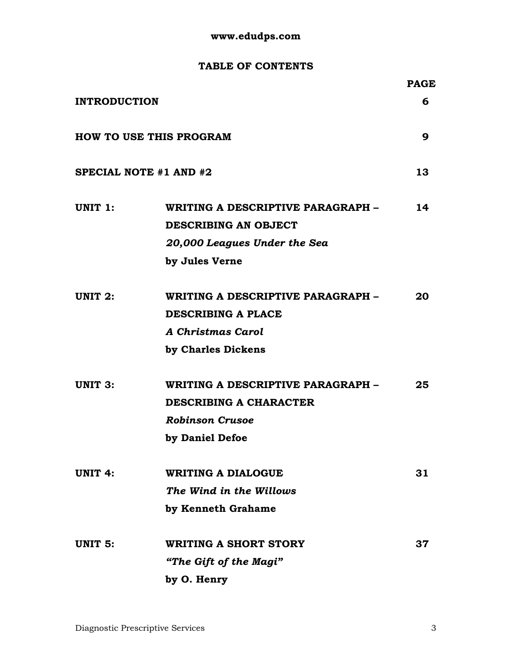### **TABLE OF CONTENTS**

|                                |                                                           | <b>PAGE</b> |
|--------------------------------|-----------------------------------------------------------|-------------|
| <b>INTRODUCTION</b>            |                                                           | 6           |
| <b>HOW TO USE THIS PROGRAM</b> |                                                           | 9           |
|                                | SPECIAL NOTE #1 AND #2                                    | 13          |
| UNIT 1:                        | WRITING A DESCRIPTIVE PARAGRAPH -<br>DESCRIBING AN OBJECT | 14          |
|                                | 20,000 Leagues Under the Sea                              |             |
|                                | by Jules Verne                                            |             |
| UNIT 2:                        | WRITING A DESCRIPTIVE PARAGRAPH -                         | 20          |
|                                | <b>DESCRIBING A PLACE</b>                                 |             |
|                                | <b>A Christmas Carol</b>                                  |             |
|                                | by Charles Dickens                                        |             |
| <b>UNIT 3:</b>                 | WRITING A DESCRIPTIVE PARAGRAPH -                         | 25          |
|                                | <b>DESCRIBING A CHARACTER</b>                             |             |
|                                | <b>Robinson Crusoe</b>                                    |             |
|                                | by Daniel Defoe                                           |             |
| <b>UNIT 4:</b>                 | <b>WRITING A DIALOGUE</b>                                 | 31          |
|                                | The Wind in the Willows                                   |             |
|                                | by Kenneth Grahame                                        |             |
| <b>UNIT 5:</b>                 | <b>WRITING A SHORT STORY</b>                              | 37          |
|                                | "The Gift of the Magi"                                    |             |
|                                | by O. Henry                                               |             |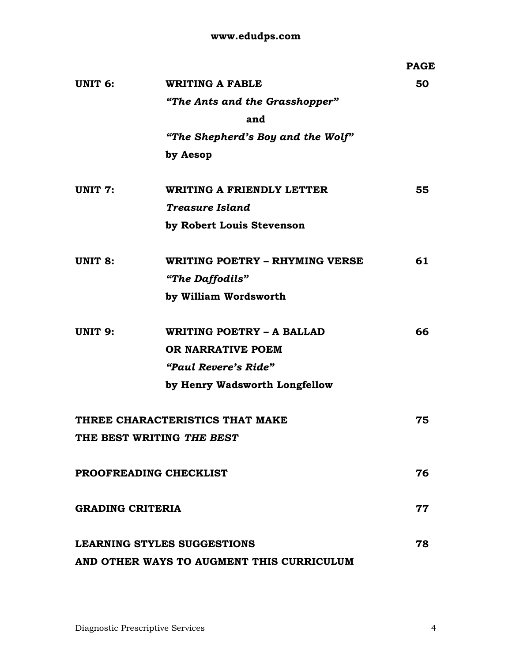|                         |                                           | <b>PAGE</b> |
|-------------------------|-------------------------------------------|-------------|
| UNIT <sub>6</sub> :     | <b>WRITING A FABLE</b>                    | 50          |
|                         | "The Ants and the Grasshopper"            |             |
|                         | and                                       |             |
|                         | "The Shepherd's Boy and the Wolf"         |             |
|                         | by Aesop                                  |             |
| UNIT 7:                 | <b>WRITING A FRIENDLY LETTER</b>          | 55          |
|                         | Treasure Island                           |             |
|                         | by Robert Louis Stevenson                 |             |
| <b>UNIT 8:</b>          | WRITING POETRY - RHYMING VERSE            | 61          |
|                         | "The Daffodils"                           |             |
|                         | by William Wordsworth                     |             |
| <b>UNIT 9:</b>          | WRITING POETRY - A BALLAD                 | 66          |
|                         | OR NARRATIVE POEM                         |             |
|                         | "Paul Revere's Ride"                      |             |
|                         | by Henry Wadsworth Longfellow             |             |
|                         | THREE CHARACTERISTICS THAT MAKE           | 75          |
|                         | THE BEST WRITING THE BEST                 |             |
| PROOFREADING CHECKLIST  |                                           | 76          |
| <b>GRADING CRITERIA</b> |                                           | 77          |
|                         | <b>LEARNING STYLES SUGGESTIONS</b>        | 78          |
|                         | AND OTHER WAYS TO AUGMENT THIS CURRICULUM |             |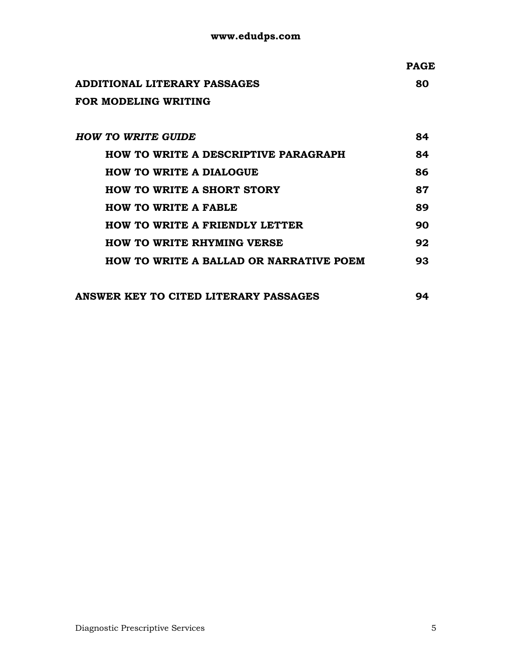|                                             | <b>PAGE</b> |
|---------------------------------------------|-------------|
| ADDITIONAL LITERARY PASSAGES                | 80          |
| FOR MODELING WRITING                        |             |
|                                             |             |
| <b>HOW TO WRITE GUIDE</b>                   | 84          |
| <b>HOW TO WRITE A DESCRIPTIVE PARAGRAPH</b> | 84          |
| <b>HOW TO WRITE A DIALOGUE</b>              | 86          |
| <b>HOW TO WRITE A SHORT STORY</b>           | 87          |
| ס וסגס ג סייוסיוו היי שנוע                  | QΩ          |

| <b>HOW TO WRITE A FABLE</b>           | 89  |
|---------------------------------------|-----|
| <b>HOW TO WRITE A FRIENDLY LETTER</b> | 90  |
| <b>HOW TO WRITE RHYMING VERSE</b>     | 92. |

**HOW TO WRITE A BALLAD OR NARRATIVE POEM 93** 

| ANSWER KEY TO CITED LITERARY PASSAGES |  |
|---------------------------------------|--|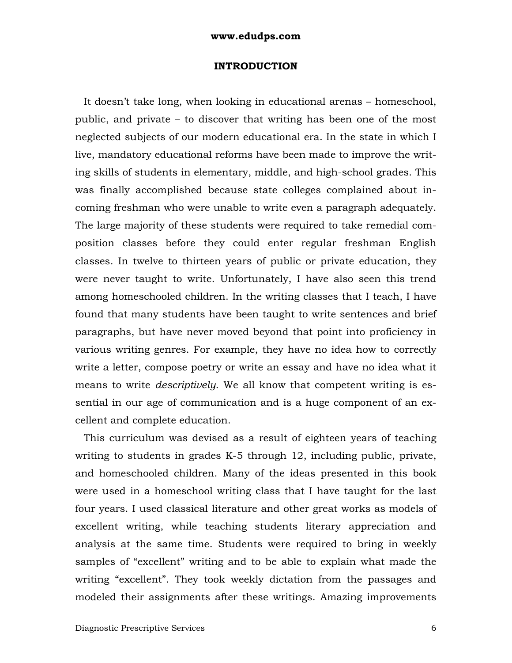#### **INTRODUCTION**

 It doesn't take long, when looking in educational arenas – homeschool, public, and private – to discover that writing has been one of the most neglected subjects of our modern educational era. In the state in which I live, mandatory educational reforms have been made to improve the writing skills of students in elementary, middle, and high-school grades. This was finally accomplished because state colleges complained about incoming freshman who were unable to write even a paragraph adequately. The large majority of these students were required to take remedial composition classes before they could enter regular freshman English classes. In twelve to thirteen years of public or private education, they were never taught to write. Unfortunately, I have also seen this trend among homeschooled children. In the writing classes that I teach, I have found that many students have been taught to write sentences and brief paragraphs, but have never moved beyond that point into proficiency in various writing genres. For example, they have no idea how to correctly write a letter, compose poetry or write an essay and have no idea what it means to write *descriptively*. We all know that competent writing is essential in our age of communication and is a huge component of an excellent and complete education.

 This curriculum was devised as a result of eighteen years of teaching writing to students in grades K-5 through 12, including public, private, and homeschooled children. Many of the ideas presented in this book were used in a homeschool writing class that I have taught for the last four years. I used classical literature and other great works as models of excellent writing, while teaching students literary appreciation and analysis at the same time. Students were required to bring in weekly samples of "excellent" writing and to be able to explain what made the writing "excellent". They took weekly dictation from the passages and modeled their assignments after these writings. Amazing improvements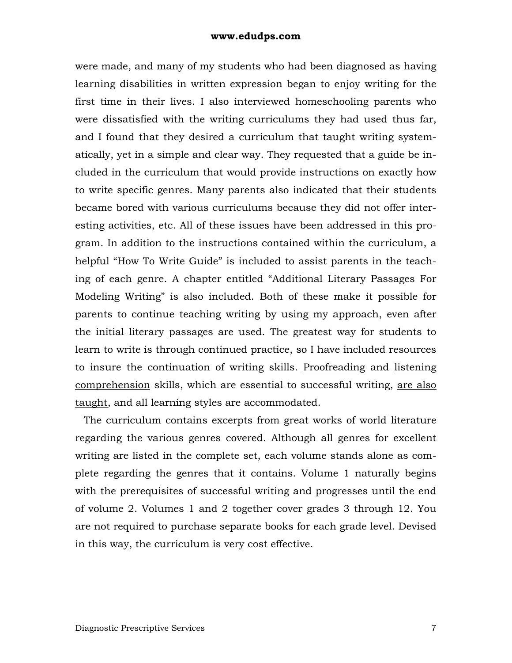were made, and many of my students who had been diagnosed as having learning disabilities in written expression began to enjoy writing for the first time in their lives. I also interviewed homeschooling parents who were dissatisfied with the writing curriculums they had used thus far, and I found that they desired a curriculum that taught writing systematically, yet in a simple and clear way. They requested that a guide be included in the curriculum that would provide instructions on exactly how to write specific genres. Many parents also indicated that their students became bored with various curriculums because they did not offer interesting activities, etc. All of these issues have been addressed in this program. In addition to the instructions contained within the curriculum, a helpful "How To Write Guide" is included to assist parents in the teaching of each genre. A chapter entitled "Additional Literary Passages For Modeling Writing" is also included. Both of these make it possible for parents to continue teaching writing by using my approach, even after the initial literary passages are used. The greatest way for students to learn to write is through continued practice, so I have included resources to insure the continuation of writing skills. Proofreading and listening comprehension skills, which are essential to successful writing, are also taught, and all learning styles are accommodated.

 The curriculum contains excerpts from great works of world literature regarding the various genres covered. Although all genres for excellent writing are listed in the complete set, each volume stands alone as complete regarding the genres that it contains. Volume 1 naturally begins with the prerequisites of successful writing and progresses until the end of volume 2. Volumes 1 and 2 together cover grades 3 through 12. You are not required to purchase separate books for each grade level. Devised in this way, the curriculum is very cost effective.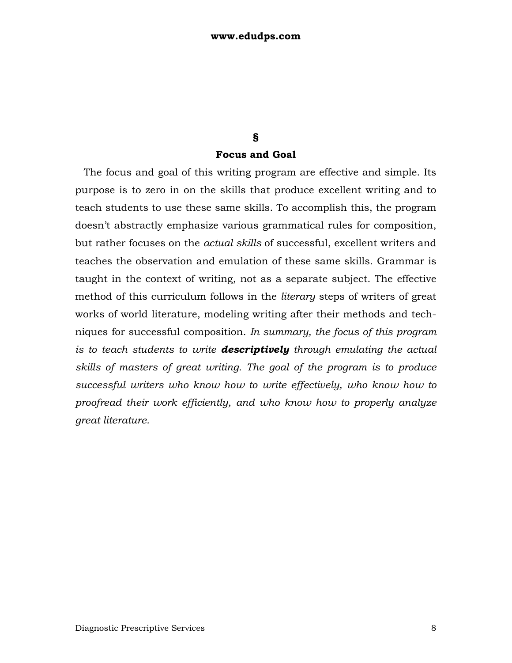# **§**

### **Focus and Goal**

 The focus and goal of this writing program are effective and simple. Its purpose is to zero in on the skills that produce excellent writing and to teach students to use these same skills. To accomplish this, the program doesn't abstractly emphasize various grammatical rules for composition, but rather focuses on the *actual skills* of successful, excellent writers and teaches the observation and emulation of these same skills. Grammar is taught in the context of writing, not as a separate subject. The effective method of this curriculum follows in the *literary* steps of writers of great works of world literature, modeling writing after their methods and techniques for successful composition. *In summary, the focus of this program is to teach students to write descriptively through emulating the actual skills of masters of great writing. The goal of the program is to produce successful writers who know how to write effectively, who know how to proofread their work efficiently, and who know how to properly analyze great literature.*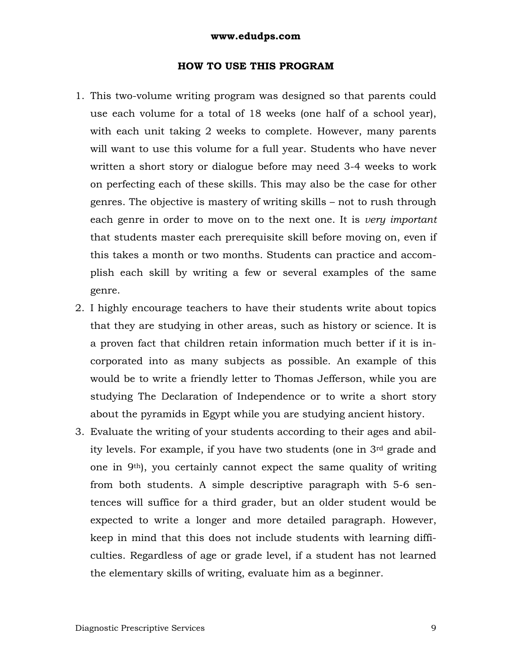#### **HOW TO USE THIS PROGRAM**

- 1. This two-volume writing program was designed so that parents could use each volume for a total of 18 weeks (one half of a school year), with each unit taking 2 weeks to complete. However, many parents will want to use this volume for a full year. Students who have never written a short story or dialogue before may need 3-4 weeks to work on perfecting each of these skills. This may also be the case for other genres. The objective is mastery of writing skills – not to rush through each genre in order to move on to the next one. It is *very important* that students master each prerequisite skill before moving on, even if this takes a month or two months. Students can practice and accomplish each skill by writing a few or several examples of the same genre.
- 2. I highly encourage teachers to have their students write about topics that they are studying in other areas, such as history or science. It is a proven fact that children retain information much better if it is incorporated into as many subjects as possible. An example of this would be to write a friendly letter to Thomas Jefferson, while you are studying The Declaration of Independence or to write a short story about the pyramids in Egypt while you are studying ancient history.
- 3. Evaluate the writing of your students according to their ages and ability levels. For example, if you have two students (one in 3rd grade and one in 9th), you certainly cannot expect the same quality of writing from both students. A simple descriptive paragraph with 5-6 sentences will suffice for a third grader, but an older student would be expected to write a longer and more detailed paragraph. However, keep in mind that this does not include students with learning difficulties. Regardless of age or grade level, if a student has not learned the elementary skills of writing, evaluate him as a beginner.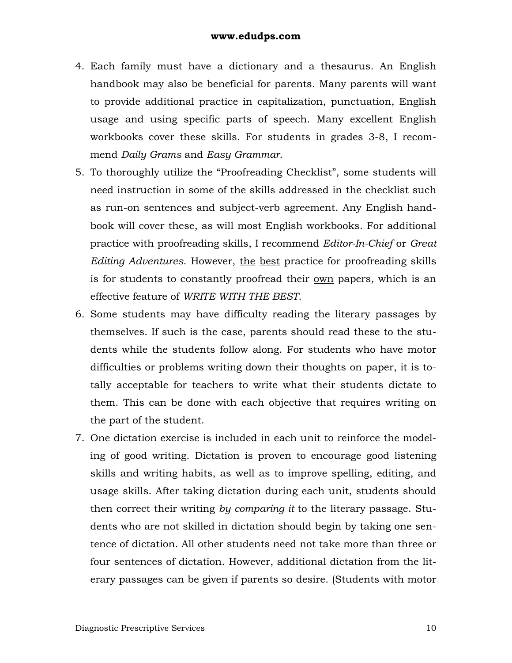- 4. Each family must have a dictionary and a thesaurus. An English handbook may also be beneficial for parents. Many parents will want to provide additional practice in capitalization, punctuation, English usage and using specific parts of speech. Many excellent English workbooks cover these skills. For students in grades 3-8, I recommend *Daily Grams* and *Easy Grammar*.
- 5. To thoroughly utilize the "Proofreading Checklist", some students will need instruction in some of the skills addressed in the checklist such as run-on sentences and subject-verb agreement. Any English handbook will cover these, as will most English workbooks. For additional practice with proofreading skills, I recommend *Editor-In-Chief* or *Great Editing Adventures*. However, the best practice for proofreading skills is for students to constantly proofread their own papers, which is an effective feature of *WRITE WITH THE BEST*.
- 6. Some students may have difficulty reading the literary passages by themselves. If such is the case, parents should read these to the students while the students follow along. For students who have motor difficulties or problems writing down their thoughts on paper, it is totally acceptable for teachers to write what their students dictate to them. This can be done with each objective that requires writing on the part of the student.
- 7. One dictation exercise is included in each unit to reinforce the modeling of good writing. Dictation is proven to encourage good listening skills and writing habits, as well as to improve spelling, editing, and usage skills. After taking dictation during each unit, students should then correct their writing *by comparing it* to the literary passage. Students who are not skilled in dictation should begin by taking one sentence of dictation. All other students need not take more than three or four sentences of dictation. However, additional dictation from the literary passages can be given if parents so desire. (Students with motor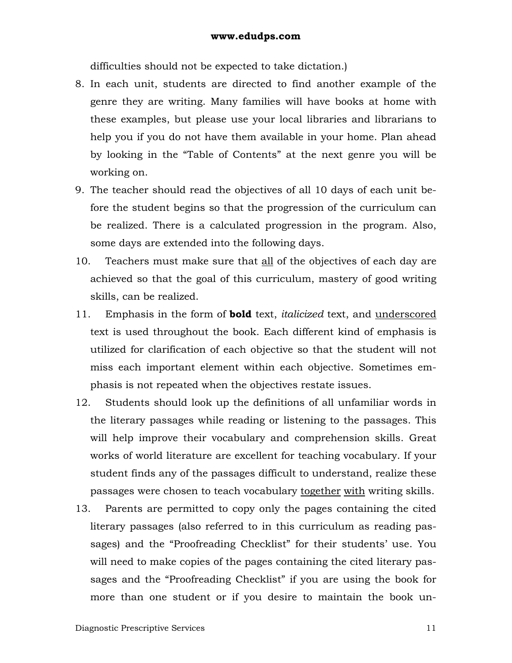difficulties should not be expected to take dictation.)

- 8. In each unit, students are directed to find another example of the genre they are writing. Many families will have books at home with these examples, but please use your local libraries and librarians to help you if you do not have them available in your home. Plan ahead by looking in the "Table of Contents" at the next genre you will be working on.
- 9. The teacher should read the objectives of all 10 days of each unit before the student begins so that the progression of the curriculum can be realized. There is a calculated progression in the program. Also, some days are extended into the following days.
- 10. Teachers must make sure that all of the objectives of each day are achieved so that the goal of this curriculum, mastery of good writing skills, can be realized.
- 11. Emphasis in the form of **bold** text, *italicized* text, and underscored text is used throughout the book. Each different kind of emphasis is utilized for clarification of each objective so that the student will not miss each important element within each objective. Sometimes emphasis is not repeated when the objectives restate issues.
- 12. Students should look up the definitions of all unfamiliar words in the literary passages while reading or listening to the passages. This will help improve their vocabulary and comprehension skills. Great works of world literature are excellent for teaching vocabulary. If your student finds any of the passages difficult to understand, realize these passages were chosen to teach vocabulary together with writing skills.
- 13. Parents are permitted to copy only the pages containing the cited literary passages (also referred to in this curriculum as reading passages) and the "Proofreading Checklist" for their students' use. You will need to make copies of the pages containing the cited literary passages and the "Proofreading Checklist" if you are using the book for more than one student or if you desire to maintain the book un-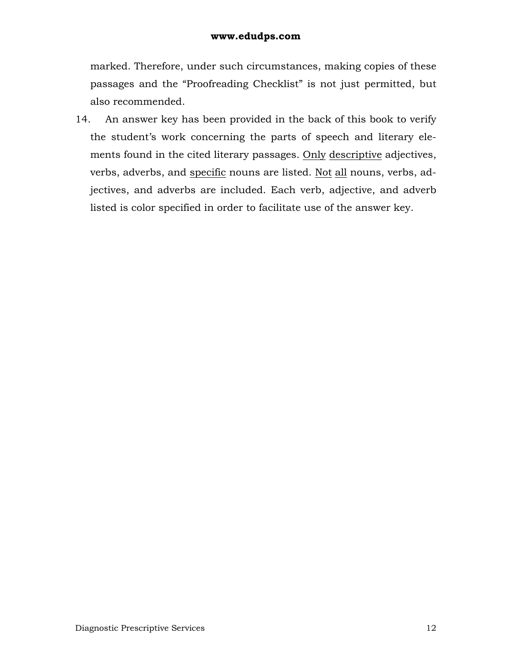marked. Therefore, under such circumstances, making copies of these passages and the "Proofreading Checklist" is not just permitted, but also recommended.

14. An answer key has been provided in the back of this book to verify the student's work concerning the parts of speech and literary elements found in the cited literary passages. Only descriptive adjectives, verbs, adverbs, and specific nouns are listed. Not all nouns, verbs, adjectives, and adverbs are included. Each verb, adjective, and adverb listed is color specified in order to facilitate use of the answer key.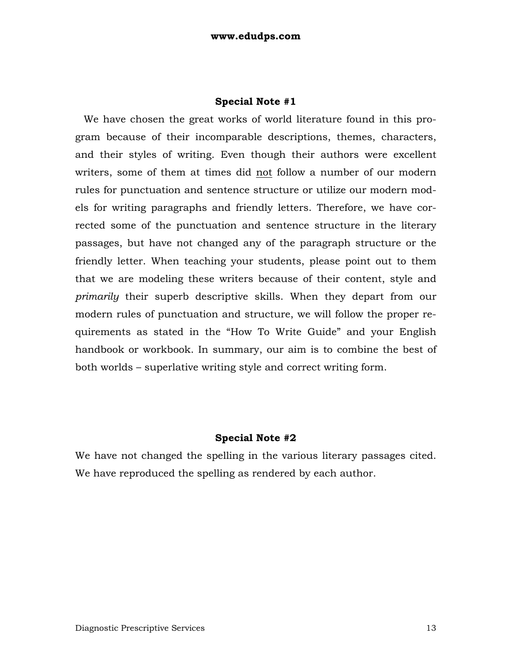#### **Special Note #1**

 We have chosen the great works of world literature found in this program because of their incomparable descriptions, themes, characters, and their styles of writing. Even though their authors were excellent writers, some of them at times did not follow a number of our modern rules for punctuation and sentence structure or utilize our modern models for writing paragraphs and friendly letters. Therefore, we have corrected some of the punctuation and sentence structure in the literary passages, but have not changed any of the paragraph structure or the friendly letter. When teaching your students, please point out to them that we are modeling these writers because of their content, style and *primarily* their superb descriptive skills. When they depart from our modern rules of punctuation and structure, we will follow the proper requirements as stated in the "How To Write Guide" and your English handbook or workbook. In summary, our aim is to combine the best of both worlds – superlative writing style and correct writing form.

### **Special Note #2**

We have not changed the spelling in the various literary passages cited. We have reproduced the spelling as rendered by each author.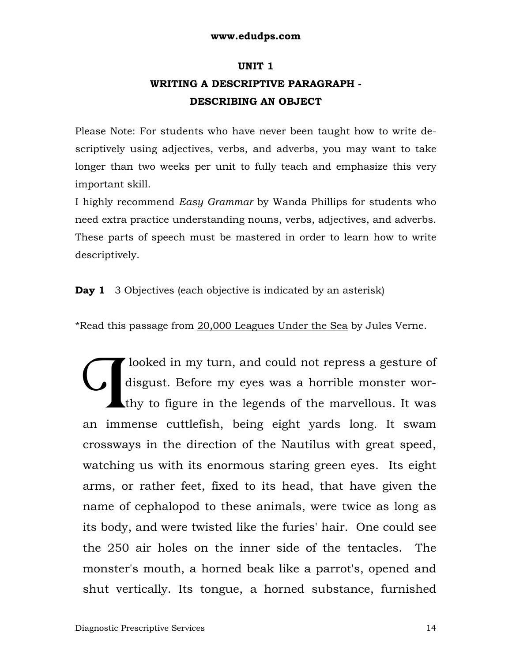### **UNIT 1**

# **WRITING A DESCRIPTIVE PARAGRAPH - DESCRIBING AN OBJECT**

Please Note: For students who have never been taught how to write descriptively using adjectives, verbs, and adverbs, you may want to take longer than two weeks per unit to fully teach and emphasize this very important skill.

I highly recommend *Easy Grammar* by Wanda Phillips for students who need extra practice understanding nouns, verbs, adjectives, and adverbs. These parts of speech must be mastered in order to learn how to write descriptively.

### **Day 1** 3 Objectives (each objective is indicated by an asterisk)

\*Read this passage from 20,000 Leagues Under the Sea by Jules Verne.

 looked in my turn, and could not repress a gesture of disgust. Before my eyes was a horrible monster worthy to figure in the legends of the marvellous. It was disgust. Before my eyes was a horrible monster wor-<br>thy to figure in the legends of the marvellous. It was<br>an immense cuttlefish, being eight yards long. It swam crossways in the direction of the Nautilus with great speed, watching us with its enormous staring green eyes. Its eight arms, or rather feet, fixed to its head, that have given the name of cephalopod to these animals, were twice as long as its body, and were twisted like the furies' hair. One could see the 250 air holes on the inner side of the tentacles. The monster's mouth, a horned beak like a parrot's, opened and shut vertically. Its tongue, a horned substance, furnished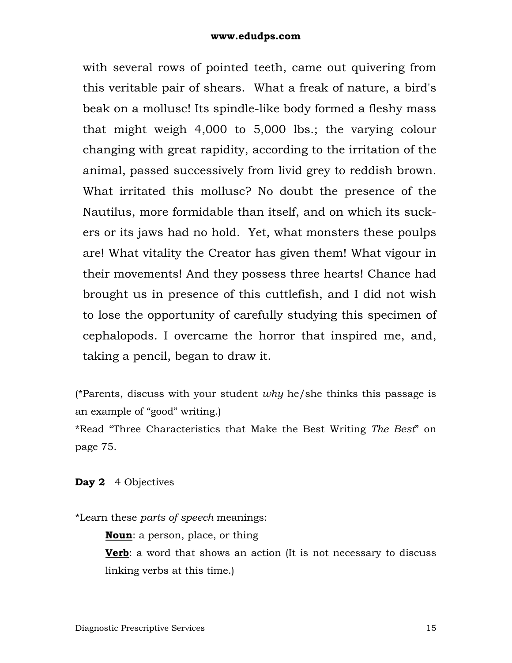with several rows of pointed teeth, came out quivering from this veritable pair of shears. What a freak of nature, a bird's beak on a mollusc! Its spindle-like body formed a fleshy mass that might weigh 4,000 to 5,000 lbs.; the varying colour changing with great rapidity, according to the irritation of the animal, passed successively from livid grey to reddish brown. What irritated this mollusc? No doubt the presence of the Nautilus, more formidable than itself, and on which its suckers or its jaws had no hold. Yet, what monsters these poulps are! What vitality the Creator has given them! What vigour in their movements! And they possess three hearts! Chance had brought us in presence of this cuttlefish, and I did not wish to lose the opportunity of carefully studying this specimen of cephalopods. I overcame the horror that inspired me, and, taking a pencil, began to draw it.

(\*Parents, discuss with your student *why* he/she thinks this passage is an example of "good" writing.)

\*Read "Three Characteristics that Make the Best Writing *The Best*" on page 75.

### **Day 2** 4 Objectives

\*Learn these *parts of speech* meanings:

**Noun**: a person, place, or thing

**Verb**: a word that shows an action (It is not necessary to discuss linking verbs at this time.)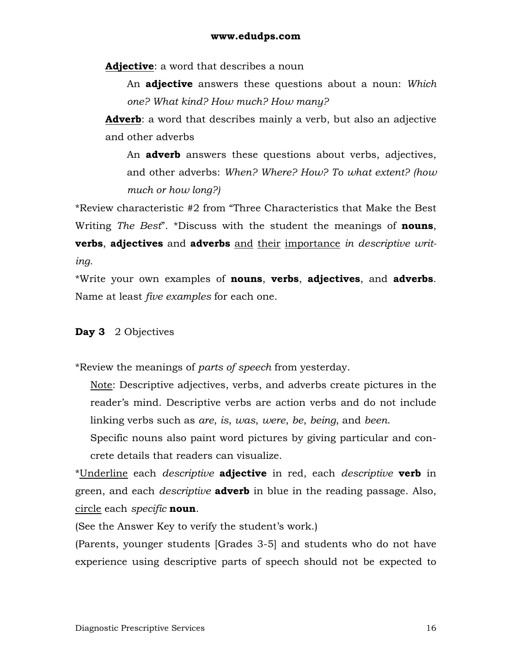**Adjective**: a word that describes a noun

An **adjective** answers these questions about a noun: *Which one? What kind? How much? How many?*

**Adverb**: a word that describes mainly a verb, but also an adjective and other adverbs

An **adverb** answers these questions about verbs, adjectives, and other adverbs: *When? Where? How? To what extent? (how much or how long?)*

\*Review characteristic #2 from "Three Characteristics that Make the Best Writing *The Best*". \*Discuss with the student the meanings of **nouns**, **verbs**, **adjectives** and **adverbs** and their importance *in descriptive writing*.

\*Write your own examples of **nouns**, **verbs**, **adjectives**, and **adverbs**. Name at least *five examples* for each one.

### **Day 3** 2 Objectives

\*Review the meanings of *parts of speech* from yesterday.

Note: Descriptive adjectives, verbs, and adverbs create pictures in the reader's mind. Descriptive verbs are action verbs and do not include linking verbs such as *are*, *is*, *was*, *were*, *be*, *being*, and *been*.

Specific nouns also paint word pictures by giving particular and concrete details that readers can visualize.

\*Underline each *descriptive* **adjective** in red, each *descriptive* **verb** in green, and each *descriptive* **adverb** in blue in the reading passage. Also, circle each *specific* **noun**.

(See the Answer Key to verify the student's work.)

(Parents, younger students [Grades 3-5] and students who do not have experience using descriptive parts of speech should not be expected to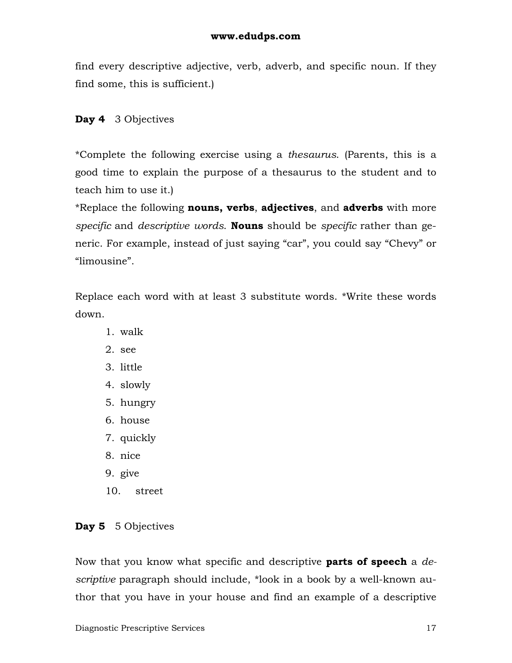find every descriptive adjective, verb, adverb, and specific noun. If they find some, this is sufficient.)

### **Day 4** 3 Objectives

\*Complete the following exercise using a *thesaurus*. (Parents, this is a good time to explain the purpose of a thesaurus to the student and to teach him to use it.)

\*Replace the following **nouns, verbs**, **adjectives**, and **adverbs** with more *specific* and *descriptive words*. **Nouns** should be *specific* rather than generic. For example, instead of just saying "car", you could say "Chevy" or "limousine".

Replace each word with at least 3 substitute words. \*Write these words down.

- 1. walk
- 2. see
- 3. little
- 4. slowly
- 5. hungry
- 6. house
- 7. quickly
- 8. nice
- 9. give
- 10. street

### **Day 5** 5 Objectives

Now that you know what specific and descriptive **parts of speech** a *descriptive* paragraph should include, \*look in a book by a well-known author that you have in your house and find an example of a descriptive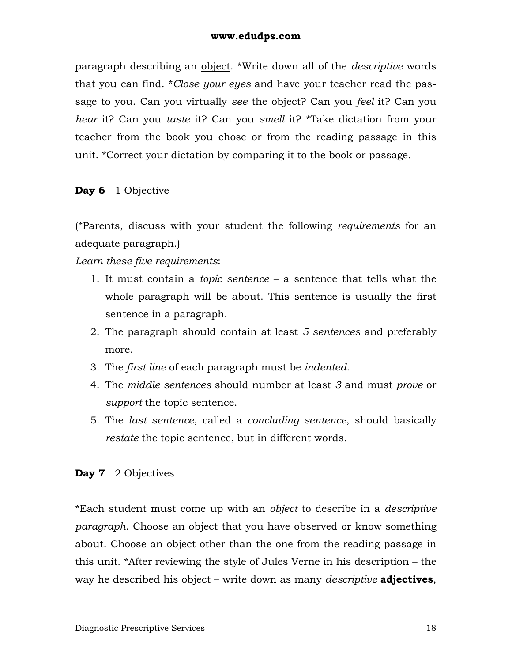paragraph describing an object. \*Write down all of the *descriptive* words that you can find. \**Close your eyes* and have your teacher read the passage to you. Can you virtually *see* the object? Can you *feel* it? Can you *hear* it? Can you *taste* it? Can you *smell* it? \*Take dictation from your teacher from the book you chose or from the reading passage in this unit. \*Correct your dictation by comparing it to the book or passage.

### **Day 6** 1 Objective

(\*Parents, discuss with your student the following *requirements* for an adequate paragraph.)

*Learn these five requirements*:

- 1. It must contain a *topic sentence* a sentence that tells what the whole paragraph will be about. This sentence is usually the first sentence in a paragraph.
- 2. The paragraph should contain at least *5 sentences* and preferably more.
- 3. The *first line* of each paragraph must be *indented*.
- 4. The *middle sentences* should number at least *3* and must *prove* or *support* the topic sentence.
- 5. The *last sentence*, called a *concluding sentence*, should basically *restate* the topic sentence, but in different words.

### **Day 7** 2 Objectives

\*Each student must come up with an *object* to describe in a *descriptive paragraph*. Choose an object that you have observed or know something about. Choose an object other than the one from the reading passage in this unit. \*After reviewing the style of Jules Verne in his description – the way he described his object – write down as many *descriptive* **adjectives**,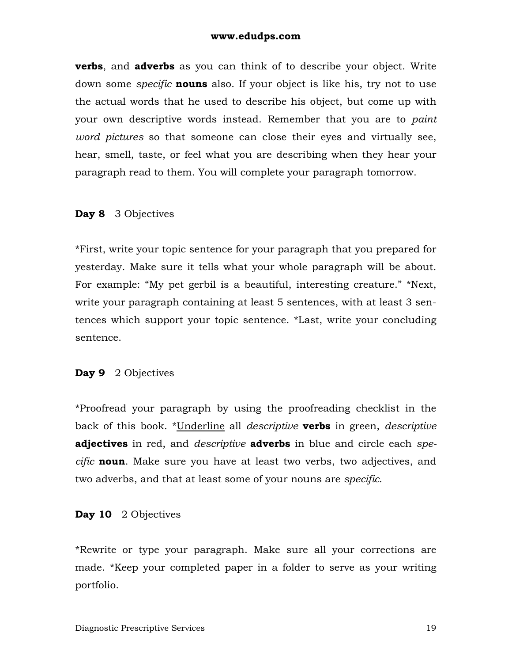**verbs**, and **adverbs** as you can think of to describe your object. Write down some *specific* **nouns** also. If your object is like his, try not to use the actual words that he used to describe his object, but come up with your own descriptive words instead. Remember that you are to *paint word pictures* so that someone can close their eyes and virtually see, hear, smell, taste, or feel what you are describing when they hear your paragraph read to them. You will complete your paragraph tomorrow.

### **Day 8** 3 Objectives

\*First, write your topic sentence for your paragraph that you prepared for yesterday. Make sure it tells what your whole paragraph will be about. For example: "My pet gerbil is a beautiful, interesting creature." \*Next, write your paragraph containing at least 5 sentences, with at least 3 sentences which support your topic sentence. \*Last, write your concluding sentence.

### **Day 9** 2 Objectives

\*Proofread your paragraph by using the proofreading checklist in the back of this book. \*Underline all *descriptive* **verbs** in green, *descriptive* **adjectives** in red, and *descriptive* **adverbs** in blue and circle each *specific* **noun**. Make sure you have at least two verbs, two adjectives, and two adverbs, and that at least some of your nouns are *specific*.

#### **Day 10** 2 Objectives

\*Rewrite or type your paragraph. Make sure all your corrections are made. \*Keep your completed paper in a folder to serve as your writing portfolio.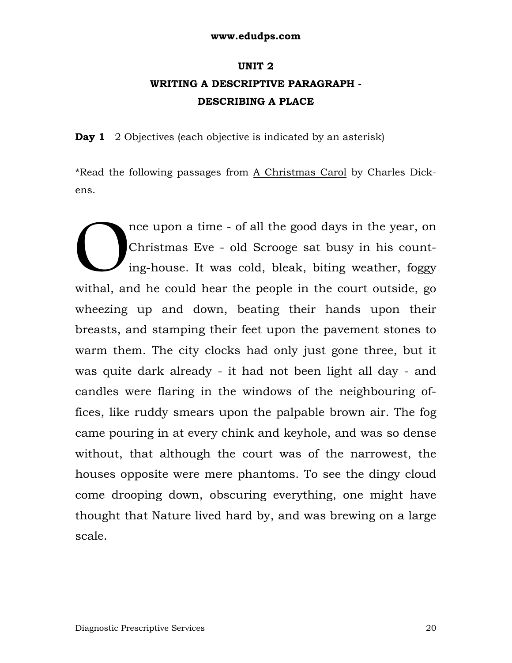# **UNIT 2 WRITING A DESCRIPTIVE PARAGRAPH - DESCRIBING A PLACE**

**Day 1** 2 Objectives (each objective is indicated by an asterisk)

\*Read the following passages from A Christmas Carol by Charles Dickens.

nce upon a time - of all the good days in the year, on Christmas Eve - old Scrooge sat busy in his counting-house. It was cold, bleak, biting weather, foggy withal, and he could hear the people in the court outside, go wheezing up and down, beating their hands upon their breasts, and stamping their feet upon the pavement stones to warm them. The city clocks had only just gone three, but it was quite dark already - it had not been light all day - and candles were flaring in the windows of the neighbouring offices, like ruddy smears upon the palpable brown air. The fog came pouring in at every chink and keyhole, and was so dense without, that although the court was of the narrowest, the houses opposite were mere phantoms. To see the dingy cloud come drooping down, obscuring everything, one might have thought that Nature lived hard by, and was brewing on a large scale.  $\bigcup_{\text{ing}}^{\text{nc}}$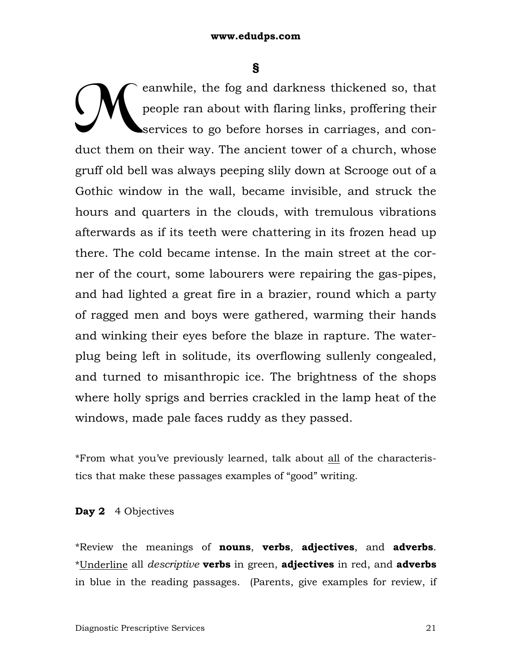**§** 

eanwhile, the fog and darkness thickened so, that people ran about with flaring links, proffering their services to go before horses in carriages, and conduct them on their way. The ancient tower of a church, whose gruff old bell was always peeping slily down at Scrooge out of a Gothic window in the wall, became invisible, and struck the hours and quarters in the clouds, with tremulous vibrations afterwards as if its teeth were chattering in its frozen head up there. The cold became intense. In the main street at the corner of the court, some labourers were repairing the gas-pipes, and had lighted a great fire in a brazier, round which a party of ragged men and boys were gathered, warming their hands and winking their eyes before the blaze in rapture. The waterplug being left in solitude, its overflowing sullenly congealed, and turned to misanthropic ice. The brightness of the shops where holly sprigs and berries crackled in the lamp heat of the windows, made pale faces ruddy as they passed. M

\*From what you've previously learned, talk about all of the characteristics that make these passages examples of "good" writing.

### **Day 2** 4 Objectives

\*Review the meanings of **nouns**, **verbs**, **adjectives**, and **adverbs**. \*Underline all *descriptive* **verbs** in green, **adjectives** in red, and **adverbs** in blue in the reading passages. (Parents, give examples for review, if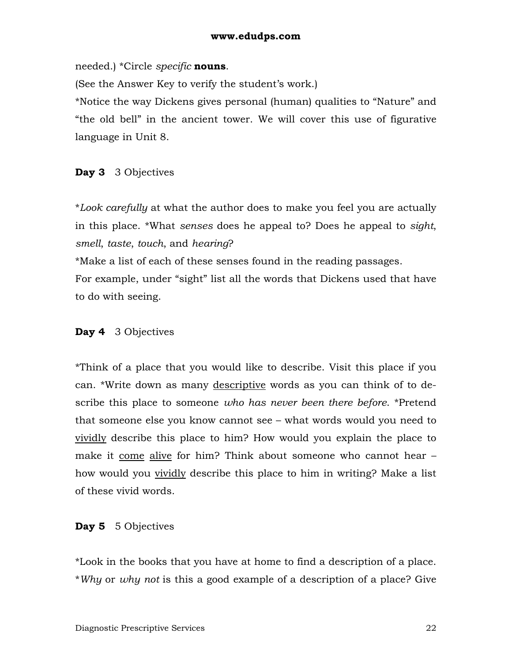needed.) \*Circle *specific* **nouns**.

(See the Answer Key to verify the student's work.)

\*Notice the way Dickens gives personal (human) qualities to "Nature" and "the old bell" in the ancient tower. We will cover this use of figurative language in Unit 8.

### **Day 3** 3 Objectives

\**Look carefully* at what the author does to make you feel you are actually in this place. \*What *senses* does he appeal to? Does he appeal to *sight*, *smell*, *taste*, *touch*, and *hearing*?

\*Make a list of each of these senses found in the reading passages. For example, under "sight" list all the words that Dickens used that have to do with seeing.

## **Day 4** 3 Objectives

\*Think of a place that you would like to describe. Visit this place if you can. \*Write down as many descriptive words as you can think of to describe this place to someone *who has never been there before*. \*Pretend that someone else you know cannot see – what words would you need to vividly describe this place to him? How would you explain the place to make it come alive for him? Think about someone who cannot hear – how would you vividly describe this place to him in writing? Make a list of these vivid words.

### **Day 5** 5 Objectives

\*Look in the books that you have at home to find a description of a place. \**Why* or *why not* is this a good example of a description of a place? Give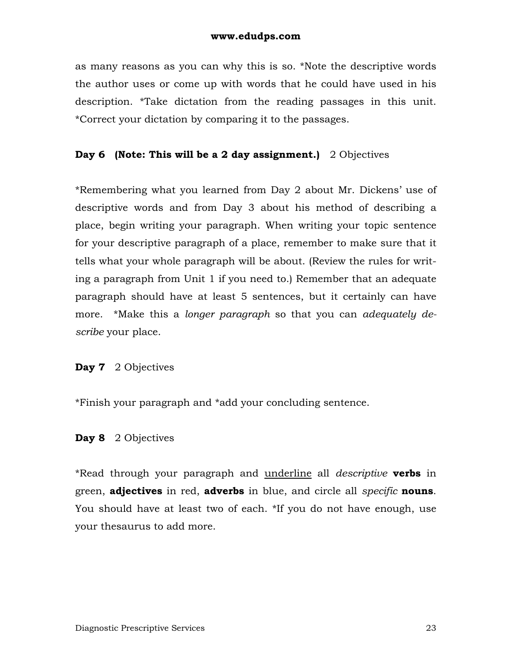as many reasons as you can why this is so. \*Note the descriptive words the author uses or come up with words that he could have used in his description. \*Take dictation from the reading passages in this unit. \*Correct your dictation by comparing it to the passages.

### **Day 6 (Note: This will be a 2 day assignment.)** 2 Objectives

\*Remembering what you learned from Day 2 about Mr. Dickens' use of descriptive words and from Day 3 about his method of describing a place, begin writing your paragraph. When writing your topic sentence for your descriptive paragraph of a place, remember to make sure that it tells what your whole paragraph will be about. (Review the rules for writing a paragraph from Unit 1 if you need to.) Remember that an adequate paragraph should have at least 5 sentences, but it certainly can have more. \*Make this a *longer paragraph* so that you can *adequately describe* your place.

### **Day 7** 2 Objectives

\*Finish your paragraph and \*add your concluding sentence.

### **Day 8** 2 Objectives

\*Read through your paragraph and underline all *descriptive* **verbs** in green, **adjectives** in red, **adverbs** in blue, and circle all *specific* **nouns**. You should have at least two of each. \*If you do not have enough, use your thesaurus to add more.